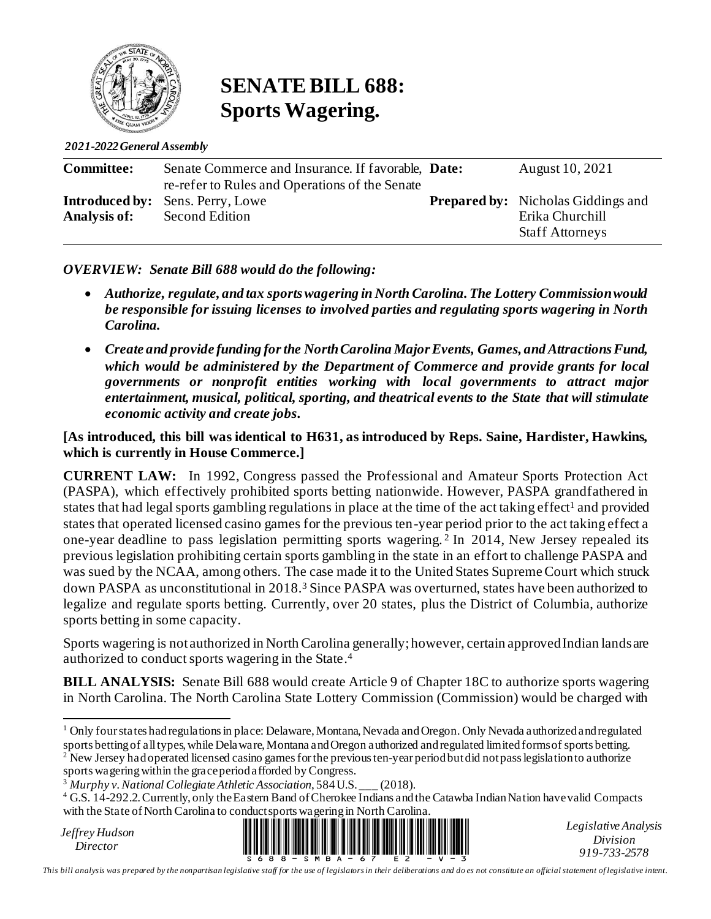

# **SENATE BILL 688: Sports Wagering.**

*2021-2022 General Assembly*

| <b>Committee:</b> | Senate Commerce and Insurance. If favorable, Date: | August 10, 2021                           |
|-------------------|----------------------------------------------------|-------------------------------------------|
|                   | re-refer to Rules and Operations of the Senate     |                                           |
|                   | <b>Introduced by:</b> Sens. Perry, Lowe            | <b>Prepared by:</b> Nicholas Giddings and |
| Analysis of:      | Second Edition                                     | Erika Churchill                           |
|                   |                                                    | <b>Staff Attorneys</b>                    |

#### *OVERVIEW: Senate Bill 688 would do the following:*

- *Authorize, regulate, and tax sports wagering in North Carolina. The Lottery Commission would be responsible for issuing licenses to involved parties and regulating sports wagering in North Carolina.*
- *Create and provide funding for the North Carolina Major Events, Games, and Attractions Fund, which would be administered by the Department of Commerce and provide grants for local governments or nonprofit entities working with local governments to attract major entertainment, musical, political, sporting, and theatrical events to the State that will stimulate economic activity and create jobs.*

#### **[As introduced, this bill was identical to H631, as introduced by Reps. Saine, Hardister, Hawkins, which is currently in House Commerce.]**

**CURRENT LAW:** In 1992, Congress passed the Professional and Amateur Sports Protection Act (PASPA), which effectively prohibited sports betting nationwide. However, PASPA grandfathered in states that had legal sports gambling regulations in place at the time of the act taking effect<sup>1</sup> and provided states that operated licensed casino games for the previous ten-year period prior to the act taking effect a one-year deadline to pass legislation permitting sports wagering. <sup>2</sup> In 2014, New Jersey repealed its previous legislation prohibiting certain sports gambling in the state in an effort to challenge PASPA and was sued by the NCAA, among others. The case made it to the United States Supreme Court which struck down PASPA as unconstitutional in 2018. <sup>3</sup> Since PASPA was overturned, states have been authorized to legalize and regulate sports betting. Currently, over 20 states, plus the District of Columbia, authorize sports betting in some capacity.

Sports wagering is not authorized in North Carolina generally; however, certain approved Indian landsare authorized to conduct sports wagering in the State. 4

**BILL ANALYSIS:** Senate Bill 688 would create Article 9 of Chapter 18C to authorize sports wagering in North Carolina. The North Carolina State Lottery Commission (Commission) would be charged with

New Jersey had operated licensed casino games for the previous ten-year period butdid not pass legislation to authorize

sports wagering within the grace period afforded by Congress.

*Jeffrey Hudson*



*Legislative Analysis Division 919-733-2578*

*This bill analysis was prepared by the nonpartisan legislative staff for the use of legislators in their deliberations and do es not constitute an official statement of legislative intent.*

 $1$  Only four states had regulations in place: Delaware, Montana, Nevada and Oregon. Only Nevada authorized and regulated sports betting of all types, while Delaware, Montana and Oregon authorized and regulated limited forms of sports betting.

<sup>3</sup> *Murphy v. National Collegiate Athletic Association*, 584 U.S. \_\_\_ (2018).

<sup>&</sup>lt;sup>4</sup> G.S. 14-292.2. Currently, only the Eastern Band of Cherokee Indians and the Catawba Indian Nation have valid Compacts with the State of North Carolina to conduct sports wagering in North Carolina.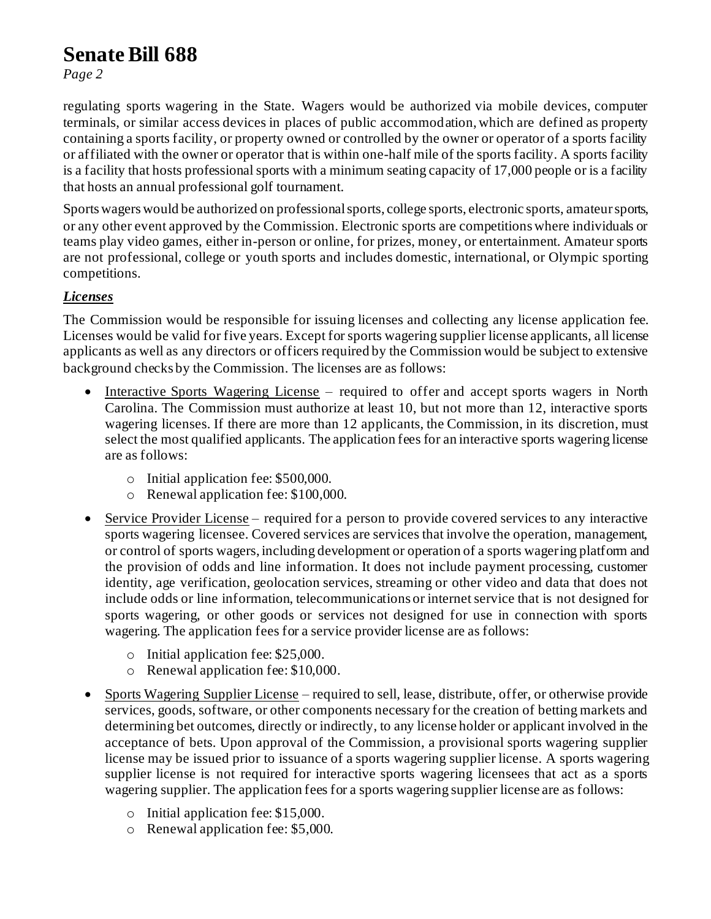# **Senate Bill 688**

*Page 2*

regulating sports wagering in the State. Wagers would be authorized via mobile devices, computer terminals, or similar access devices in places of public accommodation, which are defined as property containing a sports facility, or property owned or controlled by the owner or operator of a sports facility or affiliated with the owner or operator that is within one-half mile of the sports facility. A sports facility is a facility that hosts professional sports with a minimum seating capacity of 17,000 people or is a facility that hosts an annual professional golf tournament.

Sports wagers would be authorized on professional sports, college sports, electronic sports, amateur sports, or any other event approved by the Commission. Electronic sports are competitions where individuals or teams play video games, either in-person or online, for prizes, money, or entertainment. Amateur sports are not professional, college or youth sports and includes domestic, international, or Olympic sporting competitions.

## *Licenses*

The Commission would be responsible for issuing licenses and collecting any license application fee. Licenses would be valid for five years. Except for sports wagering supplier license applicants, all license applicants as well as any directors or officers required by the Commission would be subject to extensive background checks by the Commission. The licenses are as follows:

- Interactive Sports Wagering License required to offer and accept sports wagers in North Carolina. The Commission must authorize at least 10, but not more than 12, interactive sports wagering licenses. If there are more than 12 applicants, the Commission, in its discretion, must select the most qualified applicants. The application fees for an interactive sports wagering license are as follows:
	- o Initial application fee: \$500,000.
	- o Renewal application fee: \$100,000.
- Service Provider License required for a person to provide covered services to any interactive sports wagering licensee. Covered services are services that involve the operation, management, or control of sports wagers, including development or operation of a sports wagering platform and the provision of odds and line information. It does not include payment processing, customer identity, age verification, geolocation services, streaming or other video and data that does not include odds or line information, telecommunications or internet service that is not designed for sports wagering, or other goods or services not designed for use in connection with sports wagering. The application fees for a service provider license are as follows:
	- o Initial application fee: \$25,000.
	- o Renewal application fee: \$10,000.
- Sports Wagering Supplier License required to sell, lease, distribute, offer, or otherwise provide services, goods, software, or other components necessary for the creation of betting markets and determining bet outcomes, directly or indirectly, to any license holder or applicant involved in the acceptance of bets. Upon approval of the Commission, a provisional sports wagering supplier license may be issued prior to issuance of a sports wagering supplier license. A sports wagering supplier license is not required for interactive sports wagering licensees that act as a sports wagering supplier. The application fees for a sports wagering supplier license are as follows:
	- o Initial application fee: \$15,000.
	- o Renewal application fee: \$5,000.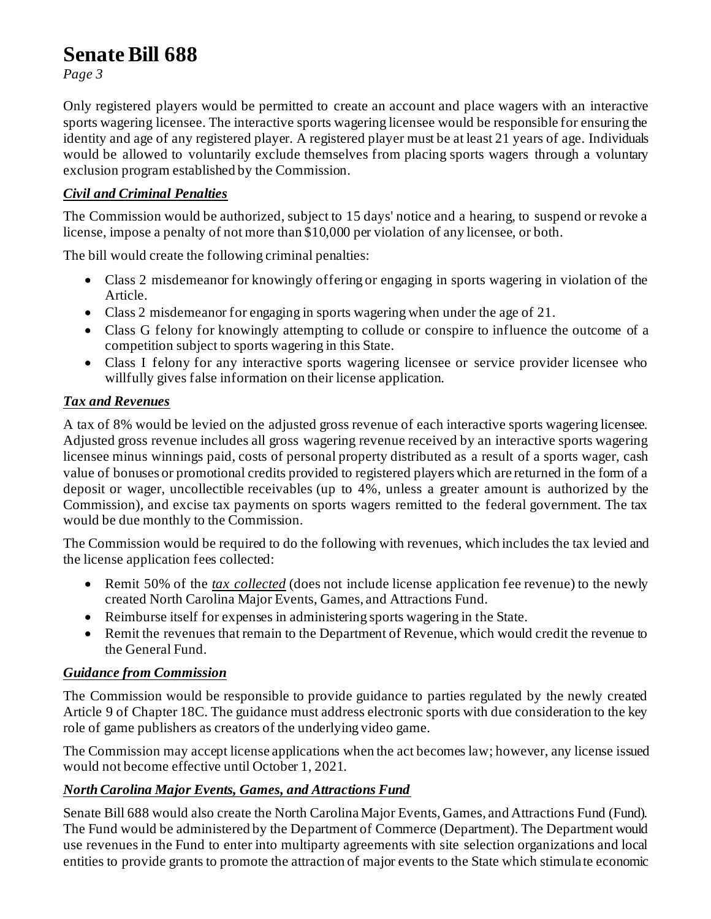# **Senate Bill 688**

*Page 3*

Only registered players would be permitted to create an account and place wagers with an interactive sports wagering licensee. The interactive sports wagering licensee would be responsible for ensuring the identity and age of any registered player. A registered player must be at least 21 years of age. Individuals would be allowed to voluntarily exclude themselves from placing sports wagers through a voluntary exclusion program established by the Commission.

#### *Civil and Criminal Penalties*

The Commission would be authorized, subject to 15 days' notice and a hearing, to suspend or revoke a license, impose a penalty of not more than \$10,000 per violation of any licensee, or both.

The bill would create the following criminal penalties:

- Class 2 misdemeanor for knowingly offering or engaging in sports wagering in violation of the Article.
- Class 2 misdemeanor for engaging in sports wagering when under the age of 21.
- Class G felony for knowingly attempting to collude or conspire to influence the outcome of a competition subject to sports wagering in this State.
- Class I felony for any interactive sports wagering licensee or service provider licensee who willfully gives false information on their license application.

### *Tax and Revenues*

A tax of 8% would be levied on the adjusted gross revenue of each interactive sports wagering licensee. Adjusted gross revenue includes all gross wagering revenue received by an interactive sports wagering licensee minus winnings paid, costs of personal property distributed as a result of a sports wager, cash value of bonuses or promotional credits provided to registered players which are returned in the form of a deposit or wager, uncollectible receivables (up to 4%, unless a greater amount is authorized by the Commission), and excise tax payments on sports wagers remitted to the federal government. The tax would be due monthly to the Commission.

The Commission would be required to do the following with revenues, which includes the tax levied and the license application fees collected:

- Remit 50% of the *tax collected* (does not include license application fee revenue) to the newly created North Carolina Major Events, Games, and Attractions Fund.
- Reimburse itself for expenses in administering sports wagering in the State.
- Remit the revenues that remain to the Department of Revenue, which would credit the revenue to the General Fund.

### *Guidance from Commission*

The Commission would be responsible to provide guidance to parties regulated by the newly created Article 9 of Chapter 18C. The guidance must address electronic sports with due consideration to the key role of game publishers as creators of the underlying video game.

The Commission may accept license applications when the act becomes law; however, any license issued would not become effective until October 1, 2021.

### *North Carolina Major Events, Games, and Attractions Fund*

Senate Bill 688 would also create the North Carolina Major Events, Games, and Attractions Fund (Fund). The Fund would be administered by the Department of Commerce (Department). The Department would use revenues in the Fund to enter into multiparty agreements with site selection organizations and local entities to provide grants to promote the attraction of major events to the State which stimulate economic